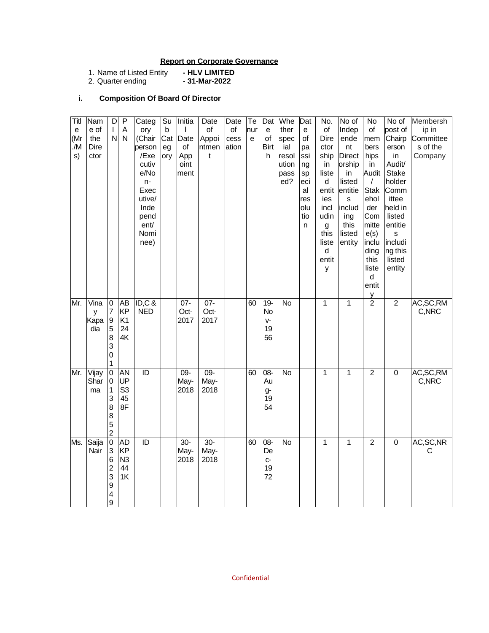## **Report on Corporate Governance**

| 1. Name of Listed Entity | - HLV LIMITED |
|--------------------------|---------------|
| 2. Quarter ending        | - 31-Mar-2022 |

# **i. Composition Of Board Of Director**

| No of<br>No of<br>No<br>Membersh<br>of<br>post of<br>ip in<br>Indep<br>Chairp<br>ende<br>Committee<br>mem<br>s of the<br>nt<br>bers<br>erson<br>hips<br>Company<br>in<br>Audit/<br>in<br><b>Stake</b><br>Audit<br>in<br>holder<br><b>Stak</b><br>Comm<br>ehol<br>ittee<br>S<br>held in<br>der<br>Com<br>listed<br>ing<br>entitie<br>mitte<br>e(s)<br>S<br>inclu<br>includi<br>ng this<br>ding<br>this<br>listed<br>liste<br>entity<br>d<br>entit | $\frac{y}{2}$<br>$\overline{2}$<br>$\mathbf{1}$<br>AC, SC, RM<br>C,NRC                | $\overline{2}$<br>AC, SC, RM<br>$\mathbf{1}$<br>$\overline{0}$<br>C,NRC                       | AC, SC, NR<br>$\overline{c}$<br>$\mathbf 0$<br>1<br>C |
|--------------------------------------------------------------------------------------------------------------------------------------------------------------------------------------------------------------------------------------------------------------------------------------------------------------------------------------------------------------------------------------------------------------------------------------------------|---------------------------------------------------------------------------------------|-----------------------------------------------------------------------------------------------|-------------------------------------------------------|
| <b>Direct</b><br>orship<br>listed<br>entitie<br>includ<br>this<br>listed<br>entity                                                                                                                                                                                                                                                                                                                                                               |                                                                                       |                                                                                               |                                                       |
| No.<br>of<br>Dire<br>ctor<br>ship<br>in<br>liste<br>d<br>entit<br>ies<br>incl<br>udin<br>g<br>this<br>liste<br>d<br>entit<br>У                                                                                                                                                                                                                                                                                                                   | $\mathbf{1}$                                                                          | $\overline{1}$                                                                                | 1                                                     |
| Dat<br>е<br>of<br>pa<br>ssi<br>ng<br>sp<br>eci<br>al<br>res<br>olu<br>tio<br>n                                                                                                                                                                                                                                                                                                                                                                   |                                                                                       |                                                                                               |                                                       |
| Whe<br>Dat<br>ther<br>$\mathbf{e}% _{t}\left( \mathbf{1}_{t}\right)$<br>of<br>spec<br><b>Birt</b><br>ial<br>h.<br>resol<br>ution<br>pass<br>ed?                                                                                                                                                                                                                                                                                                  | $\overline{N}$<br>$19-$<br><b>No</b><br>V-<br>19<br>56                                | $-80$<br>$\overline{N}$<br>Au<br>g-<br>19<br>54                                               | <b>No</b><br>08-                                      |
| Te<br>nur<br>$\mathbf{e}$                                                                                                                                                                                                                                                                                                                                                                                                                        | 60                                                                                    | 60                                                                                            | 60                                                    |
| Date<br>of<br>cess<br>ation                                                                                                                                                                                                                                                                                                                                                                                                                      |                                                                                       |                                                                                               |                                                       |
| Date<br>$\circ$ f<br>Appoi<br>ntmen<br>$\mathsf{t}$                                                                                                                                                                                                                                                                                                                                                                                              | $07 -$<br>Oct-<br>2017                                                                | $09 -$<br>May-<br>2018                                                                        | $30-$                                                 |
| Initia<br>I<br>Date<br>of<br>App<br>oint<br>ment                                                                                                                                                                                                                                                                                                                                                                                                 | $07 -$<br>Oct-<br>2017                                                                | $09 -$<br>May-<br>2018                                                                        | $30-$                                                 |
| Su<br>$\sf b$<br>Cat<br>eg<br>ory                                                                                                                                                                                                                                                                                                                                                                                                                |                                                                                       |                                                                                               |                                                       |
| Categ<br>ory<br>(Chair<br>person<br>/Exe<br>cutiv<br>e/No<br>$n-$<br>Exec<br>utive/<br>Inde<br>pend<br>ent/<br>Nomi<br>nee)                                                                                                                                                                                                                                                                                                                      | ID, C &<br><b>NED</b>                                                                 | ID                                                                                            | ID                                                    |
| $\mathsf{P}$<br>A<br>$\mathsf{N}$                                                                                                                                                                                                                                                                                                                                                                                                                | AB<br>KP<br>K <sub>1</sub><br>24<br>4K                                                | AN<br>UP<br>S <sub>3</sub><br>45<br>8F                                                        | <b>AD</b>                                             |
| D<br>T<br>N                                                                                                                                                                                                                                                                                                                                                                                                                                      | o<br>$\overline{7}$<br>$\boldsymbol{9}$<br>5<br>8<br>3<br>$\mathbf 0$<br>$\mathbf{1}$ | $\overline{0}$<br>$\overline{0}$<br>1<br>3<br>8<br>8<br>$\begin{array}{c} 5 \\ 2 \end{array}$ | $\overline{0}$                                        |
| Nam<br>e of<br>the<br>Dire<br>ctor                                                                                                                                                                                                                                                                                                                                                                                                               | Vina<br>y<br>Kapa<br>dia                                                              | Vijay<br>Shar<br>ma                                                                           | Saija                                                 |
| Titl<br>$\mathbf e$<br>(Mr<br>./M<br>s)                                                                                                                                                                                                                                                                                                                                                                                                          | Mr.                                                                                   | Mr.                                                                                           | Ms.                                                   |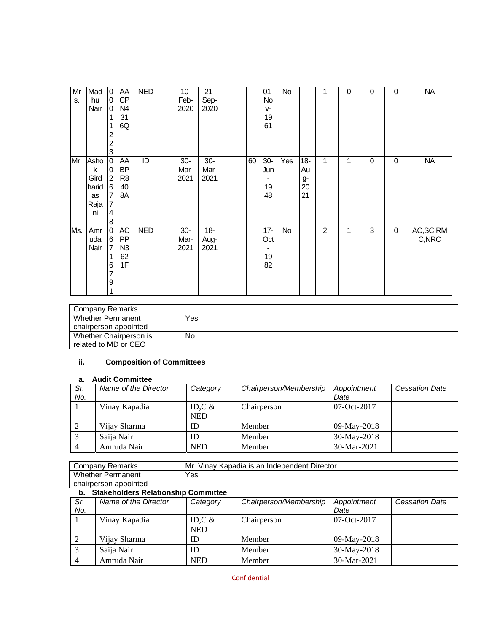| Mr<br>S. | Mad<br>hu<br>Nair                              | 0<br>0<br>0<br>1<br>2<br>$\overline{c}$<br>3                                              | AA<br><b>CP</b><br>N <sub>4</sub><br>31<br>6Q         | <b>NED</b> | $10-$<br>Feb-<br>2020 | $21 -$<br>Sep-<br>2020 |    | $01 -$<br>No<br>$V -$<br>19<br>61                     | No  |                                | 1              | 0 | 0 | $\mathbf 0$ | <b>NA</b>            |
|----------|------------------------------------------------|-------------------------------------------------------------------------------------------|-------------------------------------------------------|------------|-----------------------|------------------------|----|-------------------------------------------------------|-----|--------------------------------|----------------|---|---|-------------|----------------------|
| Mr.      | Asho<br>k<br>Gird<br>harid<br>as<br>Raja<br>ni | o<br>0<br>$\overline{2}$<br>$6\overline{6}$<br>7<br>$\overline{7}$<br>4<br>$\overline{8}$ | AA<br><b>BP</b><br>R <sub>8</sub><br>40<br>8A         | ID         | $30-$<br>Mar-<br>2021 | $30-$<br>Mar-<br>2021  | 60 | $30 -$<br>Jun<br>19<br>48                             | Yes | $18 -$<br>Au<br>g-<br>20<br>21 | 1              | 1 | 0 | $\mathbf 0$ | <b>NA</b>            |
| Ms.      | Amr<br>uda<br>Nair                             | $\overline{0}$<br>6<br>7<br>1<br>6<br>7<br>9                                              | <b>AC</b><br><b>IPP</b><br>N <sub>3</sub><br>62<br>1F | <b>NED</b> | $30-$<br>Mar-<br>2021 | $18-$<br>Aug-<br>2021  |    | $17 -$<br>Oct<br>$\overline{\phantom{a}}$<br>19<br>82 | No  |                                | $\overline{2}$ | 1 | 3 | 0           | AC, SC, RM<br>C, NRC |

| Company Remarks        |     |
|------------------------|-----|
| Whether Permanent      | Yes |
| chairperson appointed  |     |
| Whether Chairperson is | No  |
| related to MD or CEO   |     |

# **ii. Composition of Committees**

### **a. Audit Committee**

| Sr. | Name of the Director | Category   | Chairperson/Membership | Appointment   | <b>Cessation Date</b> |
|-----|----------------------|------------|------------------------|---------------|-----------------------|
| No. |                      |            |                        | Date          |                       |
|     | Vinay Kapadia        | ID,C $\&$  | Chairperson            | $07-Oct-2017$ |                       |
|     |                      | <b>NED</b> |                        |               |                       |
|     | Vijay Sharma         | ID         | Member                 | 09-May-2018   |                       |
|     | Saija Nair           | ID         | Member                 | 30-May-2018   |                       |
|     | Amruda Nair          | <b>NED</b> | Member                 | 30-Mar-2021   |                       |

| Company Remarks          | Mr.<br>. Vinay Kapadia is an Independent Director. |
|--------------------------|----------------------------------------------------|
| <b>Whether Permanent</b> | ∨es                                                |
| chairperson appointed    |                                                    |
| .<br>- - -               | .<br>.                                             |

#### **b. Stakeholders Relationship Committee**

| Sr. | Name of the Director |            | Chairperson/Membership |             | <b>Cessation Date</b> |
|-----|----------------------|------------|------------------------|-------------|-----------------------|
|     |                      | Category   |                        | Appointment |                       |
| No. |                      |            |                        | Date        |                       |
|     | Vinay Kapadia        | ID,C $\&$  | Chairperson            | 07-Oct-2017 |                       |
|     |                      | <b>NED</b> |                        |             |                       |
|     | Vijay Sharma         | ID         | Member                 | 09-May-2018 |                       |
|     | Saija Nair           | ID         | Member                 | 30-May-2018 |                       |
|     | Amruda Nair          | <b>NED</b> | Member                 | 30-Mar-2021 |                       |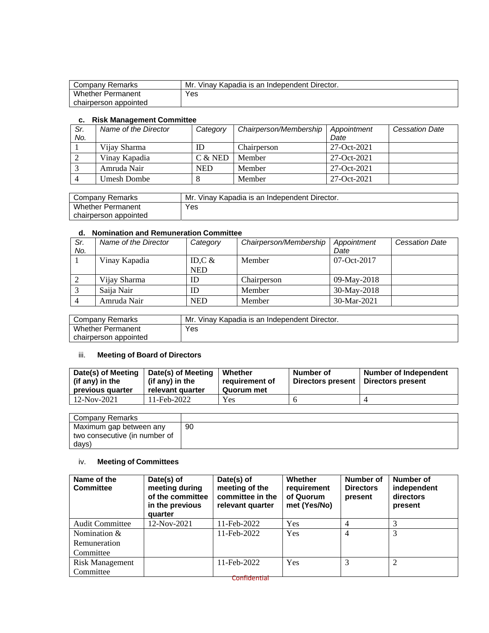| Company Remarks          | Mr.<br>Vinav Kapadia is an Independent Director. |
|--------------------------|--------------------------------------------------|
| <b>Whether Permanent</b> | Yes                                              |
| chairperson appointed    |                                                  |

#### **c. Risk Management Committee**

| Sr.<br>No. | Name of the Director | Category   | Chairperson/Membership | Appointment<br>Date | <b>Cessation Date</b> |
|------------|----------------------|------------|------------------------|---------------------|-----------------------|
|            |                      |            |                        | 27-Oct-2021         |                       |
|            | Vijay Sharma         | ID         | Chairperson            |                     |                       |
|            | Vinay Kapadia        | $C &$ NED  | Member                 | 27-Oct-2021         |                       |
|            | Amruda Nair          | <b>NED</b> | Member                 | 27-Oct-2021         |                       |
|            | Umesh Dombe          |            | Member                 | 27-Oct-2021         |                       |

| Company Remarks          | Mr.<br>Vinav Kapadia is an Independent Director. |
|--------------------------|--------------------------------------------------|
| <b>Whether Permanent</b> | Yes                                              |
| chairperson appointed    |                                                  |

### **d. Nomination and Remuneration Committee**

| Sr. | Name of the Director | Category   | Chairperson/Membership | Appointment   | <b>Cessation Date</b> |
|-----|----------------------|------------|------------------------|---------------|-----------------------|
| No. |                      |            |                        | Date          |                       |
|     | Vinay Kapadia        | ID,C $\&$  | Member                 | $07-Oct-2017$ |                       |
|     |                      | <b>NED</b> |                        |               |                       |
|     | Vijay Sharma         | ID         | Chairperson            | 09-May-2018   |                       |
|     | Saija Nair           | ID         | Member                 | 30-May-2018   |                       |
|     | Amruda Nair          | <b>NED</b> | Member                 | 30-Mar-2021   |                       |

| Company Remarks          | Mr.<br>. Vinay Kapadia is an Independent Director. |
|--------------------------|----------------------------------------------------|
| <b>Whether Permanent</b> | Yes                                                |
| chairperson appointed    |                                                    |

# iii. **Meeting of Board of Directors**

| Date(s) of Meeting<br>(if any) in the<br>previous quarter | Date(s) of Meeting<br>(if any) in the<br>relevant quarter | Whether<br>requirement of<br>Quorum met | Number of<br>Directors present | <b>Number of Independent</b><br>Directors present |
|-----------------------------------------------------------|-----------------------------------------------------------|-----------------------------------------|--------------------------------|---------------------------------------------------|
| 12-Nov-2021                                               | 11-Feb-2022                                               | Yes                                     |                                |                                                   |

| Company Remarks               |    |
|-------------------------------|----|
| Maximum gap between any       | 90 |
| two consecutive (in number of |    |
| days)                         |    |

## iv. **Meeting of Committees**

| Name of the<br><b>Committee</b> | Date(s) of<br>meeting during<br>of the committee<br>in the previous<br>quarter | Date(s) of<br>meeting of the<br>committee in the<br>relevant quarter | <b>Whether</b><br>requirement<br>of Quorum<br>met (Yes/No) | Number of<br><b>Directors</b><br>present | Number of<br>independent<br>directors<br>present |
|---------------------------------|--------------------------------------------------------------------------------|----------------------------------------------------------------------|------------------------------------------------------------|------------------------------------------|--------------------------------------------------|
| <b>Audit Committee</b>          | 12-Nov-2021                                                                    | 11-Feb-2022                                                          | Yes                                                        | 4                                        |                                                  |
| Nomination $&$                  |                                                                                | 11-Feb-2022                                                          | Yes                                                        | $\overline{4}$                           | 3                                                |
| Remuneration                    |                                                                                |                                                                      |                                                            |                                          |                                                  |
| Committee                       |                                                                                |                                                                      |                                                            |                                          |                                                  |
| <b>Risk Management</b>          |                                                                                | 11-Feb-2022                                                          | <b>Yes</b>                                                 | 3                                        |                                                  |
| Committee                       |                                                                                |                                                                      |                                                            |                                          |                                                  |
|                                 |                                                                                | Confidential                                                         |                                                            |                                          |                                                  |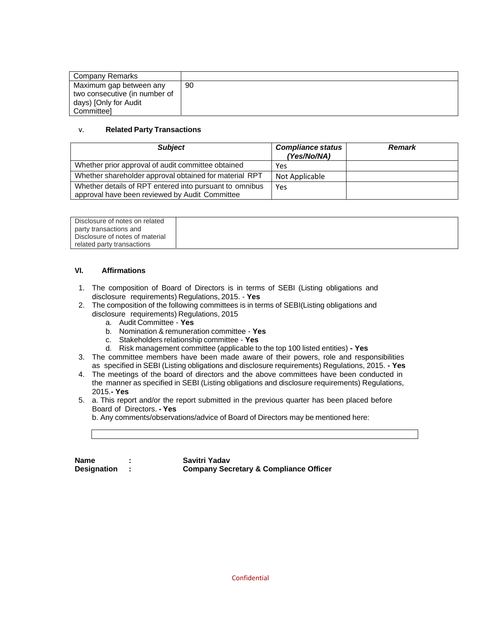| Company Remarks               |    |
|-------------------------------|----|
| Maximum gap between any       | 90 |
| two consecutive (in number of |    |
| days) [Only for Audit         |    |
| Committeel                    |    |

### v. **Related Party Transactions**

| <b>Subject</b>                                                                                            | <b>Compliance status</b><br>(Yes/No/NA) | <b>Remark</b> |
|-----------------------------------------------------------------------------------------------------------|-----------------------------------------|---------------|
| Whether prior approval of audit committee obtained                                                        | Yes                                     |               |
| Whether shareholder approval obtained for material RPT                                                    | Not Applicable                          |               |
| Whether details of RPT entered into pursuant to omnibus<br>approval have been reviewed by Audit Committee | Yes                                     |               |

| Disclosure of notes on related  |  |
|---------------------------------|--|
| party transactions and          |  |
| Disclosure of notes of material |  |
| related party transactions      |  |

#### **VI. Affirmations**

- 1. The composition of Board of Directors is in terms of SEBI (Listing obligations and disclosure requirements) Regulations, 2015. - **Yes**
- 2. The composition of the following committees is in terms of SEBI(Listing obligations and disclosure requirements) Regulations, 2015
	- a. Audit Committee **Yes**
	- b. Nomination & remuneration committee **Yes**
	- c. Stakeholders relationship committee **Yes**
	- d. Risk management committee (applicable to the top 100 listed entities)  **Yes**
- 3. The committee members have been made aware of their powers, role and responsibilities as specified in SEBI (Listing obligations and disclosure requirements) Regulations, 2015. **- Yes**
- 4. The meetings of the board of directors and the above committees have been conducted in the manner as specified in SEBI (Listing obligations and disclosure requirements) Regulations, 2015.**- Yes**
- 5. a. This report and/or the report submitted in the previous quarter has been placed before Board of Directors. **- Yes**

b. Any comments/observations/advice of Board of Directors may be mentioned here:

| <b>Name</b>        |  |
|--------------------|--|
| <b>Designation</b> |  |

**Savitri Yadav Designation : Company Secretary & Compliance Officer**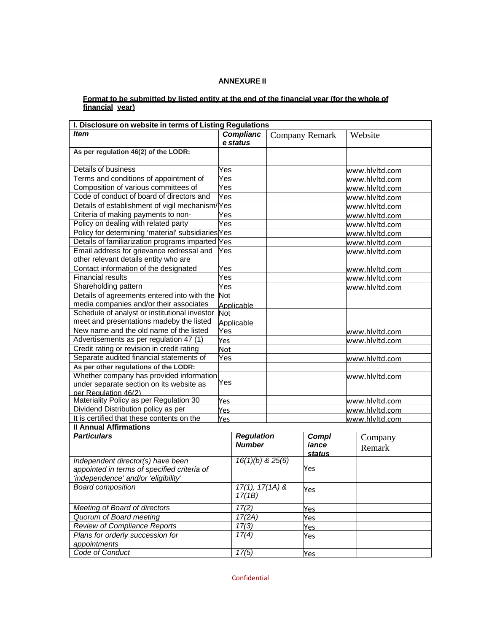### **ANNEXURE II**

#### **Format to be submitted by listed entity at the end of the financial year (for the whole of financial year)**

| I. Disclosure on website in terms of Listing Regulations                           |            |                                    |              |                       |                |                |  |
|------------------------------------------------------------------------------------|------------|------------------------------------|--------------|-----------------------|----------------|----------------|--|
| Item                                                                               |            | <b>Complianc</b>                   |              | <b>Company Remark</b> |                | Website        |  |
|                                                                                    |            | e status                           |              |                       |                |                |  |
| As per regulation 46(2) of the LODR:                                               |            |                                    |              |                       |                |                |  |
| Details of business<br>Yes                                                         |            |                                    |              |                       |                | www.hlvltd.com |  |
| Terms and conditions of appointment of                                             | Yes        |                                    |              |                       |                | www.hlvltd.com |  |
| Composition of various committees of                                               | Yes        |                                    |              |                       |                | www.hlvltd.com |  |
| Code of conduct of board of directors and                                          | Yes        |                                    |              |                       |                | www.hlvltd.com |  |
| Details of establishment of vigil mechanism/Yes                                    |            |                                    |              |                       |                | www.hlvltd.com |  |
| Criteria of making payments to non-                                                | Yes        |                                    |              |                       |                | www.hlvltd.com |  |
| Policy on dealing with related party                                               | Yes        |                                    |              |                       |                | www.hlvltd.com |  |
| Policy for determining 'material' subsidiaries Yes                                 |            |                                    |              |                       |                | www.hlvltd.com |  |
| Details of familiarization programs imparted Yes                                   |            |                                    |              |                       |                | www.hlvltd.com |  |
| Email address for grievance redressal and<br>other relevant details entity who are | Yes        |                                    |              |                       |                | www.hlvltd.com |  |
| Contact information of the designated                                              | Yes        |                                    |              |                       |                | www.hlvltd.com |  |
| <b>Financial results</b>                                                           | Yes        |                                    |              |                       |                | www.hlvltd.com |  |
| Shareholding pattern                                                               | Yes        |                                    |              |                       |                | www.hlvltd.com |  |
| Details of agreements entered into with the                                        | <b>Not</b> |                                    |              |                       |                |                |  |
| media companies and/or their associates                                            |            | Applicable                         |              |                       |                |                |  |
| Schedule of analyst or institutional investor                                      | Not        |                                    |              |                       |                |                |  |
| meet and presentations madeby the listed                                           | Applicable |                                    |              |                       |                |                |  |
| New name and the old name of the listed                                            | Yes        |                                    |              | www.hlvltd.com        |                |                |  |
| Advertisements as per regulation 47 (1)                                            | Yes        |                                    |              |                       |                | www.hlvltd.com |  |
| Credit rating or revision in credit rating                                         | <b>Not</b> |                                    |              |                       |                |                |  |
| Separate audited financial statements of                                           | Yes        |                                    |              |                       |                | www.hlvltd.com |  |
| As per other regulations of the LODR:                                              |            |                                    |              |                       |                |                |  |
| Whether company has provided information                                           |            |                                    |              |                       |                | www.hlvltd.com |  |
| under separate section on its website as                                           | Yes        |                                    |              |                       |                |                |  |
| per Regulation 46(2)                                                               |            |                                    |              |                       |                |                |  |
| Materiality Policy as per Regulation 30                                            | Yes        |                                    |              |                       | www.hlvltd.com |                |  |
| Dividend Distribution policy as per                                                | Yes        |                                    |              |                       |                | www.hlvltd.com |  |
| It is certified that these contents on the<br><b>II Annual Affirmations</b>        | Yes        |                                    |              |                       |                | www.hlvltd.com |  |
| <b>Particulars</b>                                                                 |            |                                    |              |                       |                |                |  |
|                                                                                    |            | <b>Regulation</b><br><b>Number</b> | <b>Compl</b> |                       |                | Company        |  |
|                                                                                    |            |                                    |              | iance<br>status       |                | Remark         |  |
| Independent director(s) have been                                                  |            | $16(1)(b)$ & $25(6)$               |              |                       |                |                |  |
| appointed in terms of specified criteria of                                        |            |                                    |              | Yes                   |                |                |  |
| 'independence' and/or 'eligibility'                                                |            |                                    |              |                       |                |                |  |
| <b>Board composition</b>                                                           |            | $17(1), 17(1A)$ &                  |              | Yes                   |                |                |  |
|                                                                                    |            | 17(1B)                             |              |                       |                |                |  |
| Meeting of Board of directors                                                      |            | 17(2)                              |              | Yes                   |                |                |  |
| Quorum of Board meeting                                                            |            | 17(2A)                             |              | Yes                   |                |                |  |
| Review of Compliance Reports                                                       |            | 17(3)                              |              | Yes                   |                |                |  |
| Plans for orderly succession for                                                   |            | 17(4)                              |              | Yes                   |                |                |  |
| appointments                                                                       |            |                                    |              |                       |                |                |  |
| Code of Conduct                                                                    |            | 17(5)                              |              | <b>Yes</b>            |                |                |  |

Confidential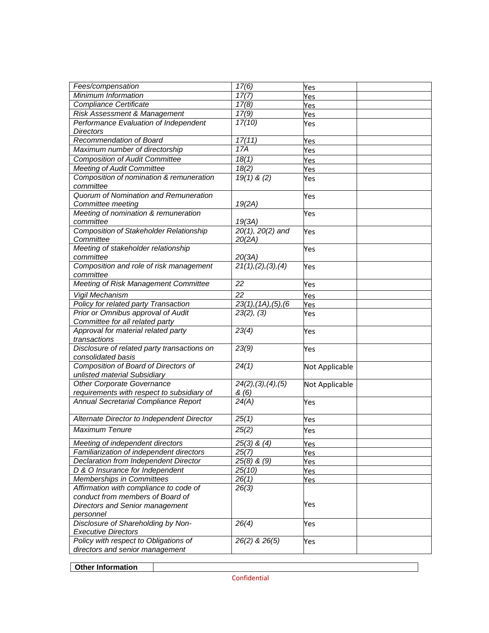| Fees/compensation                              | 17(6)                            | Yes            |  |
|------------------------------------------------|----------------------------------|----------------|--|
| Minimum Information                            | 17(7)                            | Yes            |  |
| Compliance Certificate                         | 17(8)                            | <u>Yes</u>     |  |
| Risk Assessment & Management                   | 17(9)                            | Yes            |  |
| Performance Evaluation of Independent          | 17(10)                           | Yes            |  |
| <b>Directors</b>                               |                                  |                |  |
| Recommendation of Board                        | 17(11)                           | Yes            |  |
| Maximum number of directorship                 | 17A                              | Yes            |  |
| <b>Composition of Audit Committee</b>          | 18(1)                            | Yes            |  |
| <b>Meeting of Audit Committee</b>              | 18(2)                            | Yes            |  |
| Composition of nomination & remuneration       | $19(1)$ & (2)                    | Yes            |  |
| committee                                      |                                  |                |  |
| Quorum of Nomination and Remuneration          |                                  | Yes            |  |
| Committee meeting                              | 19(2A)                           |                |  |
| Meeting of nomination & remuneration           |                                  | Yes            |  |
| committee                                      | 19(3A)                           |                |  |
| <b>Composition of Stakeholder Relationship</b> | $20(1)$ , $20(2)$ and            | Yes            |  |
| Committee                                      | 20(2A)                           |                |  |
| Meeting of stakeholder relationship            |                                  | Yes            |  |
| committee                                      | 20(3A)                           |                |  |
| Composition and role of risk management        | 21(1), (2), (3), (4)             | Yes            |  |
| committee                                      |                                  |                |  |
| Meeting of Risk Management Committee           | 22                               | Yes            |  |
| <b>Vigil Mechanism</b>                         | 22                               | Yes            |  |
| Policy for related party Transaction           | $23(1)$ , $(1A)$ , $(5)$ , $(6)$ | Yes            |  |
| Prior or Omnibus approval of Audit             | 23(2), (3)                       | Yes            |  |
| Committee for all related party                |                                  |                |  |
| Approval for material related party            | 23(4)                            | Yes            |  |
| transactions                                   |                                  |                |  |
| Disclosure of related party transactions on    | 23(9)                            | Yes            |  |
| consolidated basis                             |                                  |                |  |
| Composition of Board of Directors of           | 24(1)                            | Not Applicable |  |
| unlisted material Subsidiary                   |                                  |                |  |
| <b>Other Corporate Governance</b>              | 24(2), (3), (4), (5)             | Not Applicable |  |
| requirements with respect to subsidiary of     | & (6)                            |                |  |
| Annual Secretarial Compliance Report           | 24(A)                            | Yes            |  |
|                                                |                                  |                |  |
| Alternate Director to Independent Director     | 25(1)                            | Yes            |  |
| <b>Maximum Tenure</b>                          | 25(2)                            | Yes            |  |
| Meeting of independent directors               | $25(3)$ & $(4)$                  | Yes            |  |
| Familiarization of independent directors       | 25(7)                            | Yes            |  |
| Declaration from Independent Director          | $25(8)$ & $(9)$                  | Yes            |  |
| D & O Insurance for Independent                | 25(10)                           | Yes            |  |
| Memberships in Committees                      | 26(1)                            | Yes            |  |
| Affirmation with compliance to code of         | 26(3)                            |                |  |
| conduct from members of Board of               |                                  |                |  |
| Directors and Senior management                |                                  | Yes            |  |
| personnel                                      |                                  |                |  |
| Disclosure of Shareholding by Non-             | 26(4)                            | Yes            |  |
| <b>Executive Directors</b>                     |                                  |                |  |
| Policy with respect to Obligations of          | $\overline{26(2)}$ & $26(5)$     | Yes            |  |
| directors and senior management                |                                  |                |  |
|                                                |                                  |                |  |

**Other Information**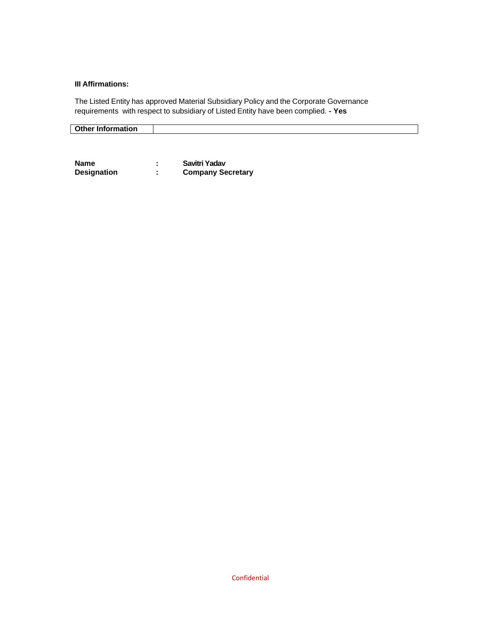## **III Affirmations:**

The Listed Entity has approved Material Subsidiary Policy and the Corporate Governance requirements with respect to subsidiary of Listed Entity have been complied. **- Yes** 

| —uner Inform~<br>.<br>mation. |  |
|-------------------------------|--|

| <b>Name</b>        | Savitri Yadav            |
|--------------------|--------------------------|
| <b>Designation</b> | <b>Company Secretary</b> |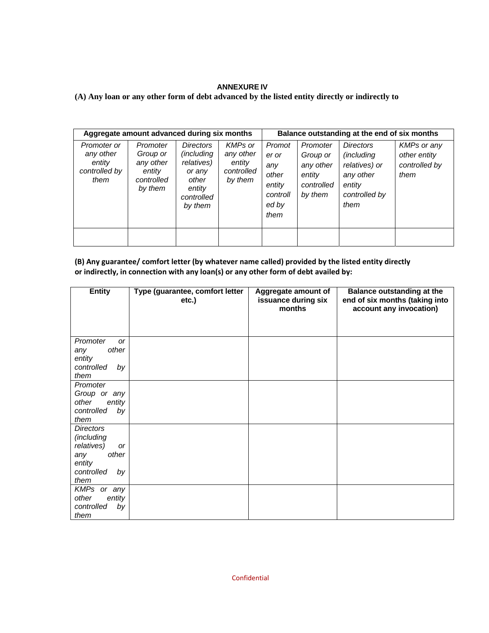### **ANNEXURE IV**

# **(A) Any loan or any other form of debt advanced by the listed entity directly or indirectly to**

| Aggregate amount advanced during six months                 |                                                                      |                                                                                                     |                                                                | Balance outstanding at the end of six months                           |                                                                      |                                                                                                        |                                                      |
|-------------------------------------------------------------|----------------------------------------------------------------------|-----------------------------------------------------------------------------------------------------|----------------------------------------------------------------|------------------------------------------------------------------------|----------------------------------------------------------------------|--------------------------------------------------------------------------------------------------------|------------------------------------------------------|
| Promoter or<br>any other<br>entity<br>controlled by<br>them | Promoter<br>Group or<br>any other<br>entitv<br>controlled<br>by them | Directors<br><i>(including)</i><br>relatives)<br>or any<br>other<br>entity<br>controlled<br>by them | <b>KMPs or</b><br>any other<br>entity<br>controlled<br>by them | Promot<br>er or<br>any<br>other<br>entity<br>controll<br>ed by<br>them | Promoter<br>Group or<br>any other<br>entity<br>controlled<br>by them | <b>Directors</b><br><i>(including</i><br>relatives) or<br>any other<br>entity<br>controlled by<br>them | KMPs or any<br>other entity<br>controlled by<br>them |
|                                                             |                                                                      |                                                                                                     |                                                                |                                                                        |                                                                      |                                                                                                        |                                                      |

| (B) Any guarantee/ comfort letter (by whatever name called) provided by the listed entity directly |
|----------------------------------------------------------------------------------------------------|
| or indirectly, in connection with any loan(s) or any other form of debt availed by:                |

| <b>Entity</b>                                                                                                   | Type (guarantee, comfort letter<br>etc.) | Aggregate amount of<br>issuance during six<br>months | <b>Balance outstanding at the</b><br>end of six months (taking into<br>account any invocation) |
|-----------------------------------------------------------------------------------------------------------------|------------------------------------------|------------------------------------------------------|------------------------------------------------------------------------------------------------|
| Promoter<br><b>or</b><br>other<br>any<br>entity<br>controlled<br>by<br>them                                     |                                          |                                                      |                                                                                                |
| Promoter<br>Group or any<br>other<br>entity<br>controlled<br>by<br>them                                         |                                          |                                                      |                                                                                                |
| <b>Directors</b><br>(including<br>relatives)<br><b>or</b><br>other<br>any<br>entity<br>controlled<br>by<br>them |                                          |                                                      |                                                                                                |
| KMPs or any<br>entity<br>other<br>controlled<br>by<br>them                                                      |                                          |                                                      |                                                                                                |